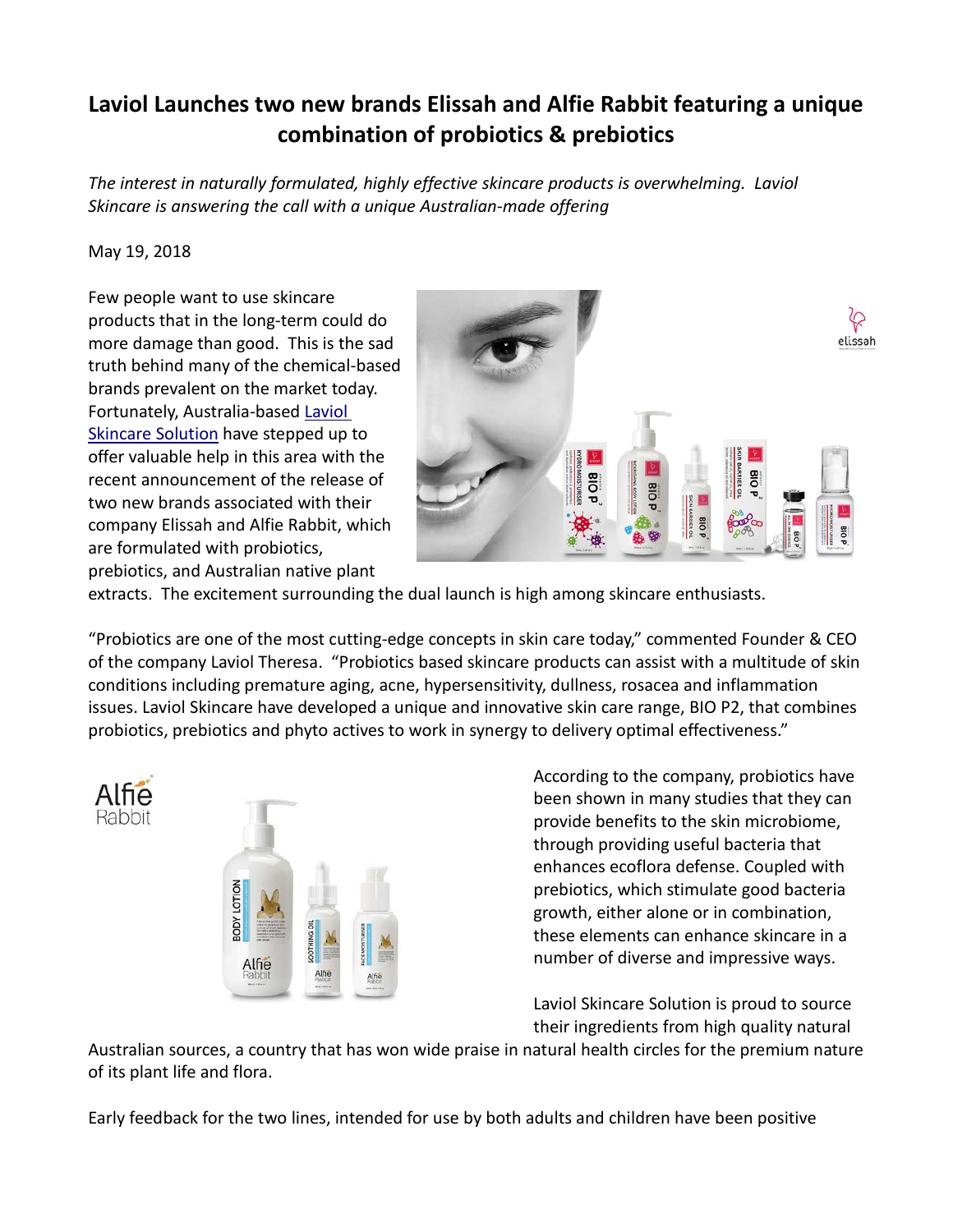## **Laviol Launches two new brands Elissah and Alfie Rabbit featuring a unique combination of probiotics & prebiotics**

*The interest in naturally formulated, highly effective skincare products is overwhelming. Laviol Skincare is answering the call with a unique Australian-made offering*

## May 19, 2018

Few people want to use skincare products that in the long-term could do more damage than good. This is the sad truth behind many of the chemical-based brands prevalent on the market today. Fortunately, Australia-based [Laviol](https://www.laviol.com.au/)  [Skincare Solution](https://www.laviol.com.au/) have stepped up to offer valuable help in this area with the recent announcement of the release of two new brands associated with their company Elissah and Alfie Rabbit, which are formulated with probiotics, prebiotics, and Australian native plant



extracts. The excitement surrounding the dual launch is high among skincare enthusiasts.

"Probiotics are one of the most cutting-edge concepts in skin care today," commented Founder & CEO of the company Laviol Theresa. "Probiotics based skincare products can assist with a multitude of skin conditions including premature aging, acne, hypersensitivity, dullness, rosacea and inflammation issues. Laviol Skincare have developed a unique and innovative skin care range, BIO P2, that combines probiotics, prebiotics and phyto actives to work in synergy to delivery optimal effectiveness."





According to the company, probiotics have been shown in many studies that they can provide benefits to the skin microbiome, through providing useful bacteria that enhances ecoflora defense. Coupled with prebiotics, which stimulate good bacteria growth, either alone or in combination, these elements can enhance skincare in a number of diverse and impressive ways.

Laviol Skincare Solution is proud to source their ingredients from high quality natural

Australian sources, a country that has won wide praise in natural health circles for the premium nature of its plant life and flora.

Early feedback for the two lines, intended for use by both adults and children have been positive